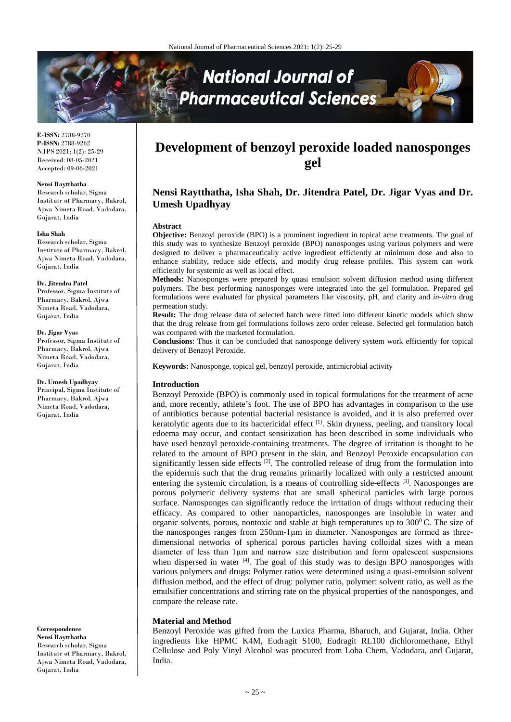

**E-ISSN:** 2788-9270 **P-ISSN:** 2788-9262 NJPS 2021; 1(2): 25-29 Received: 08-05-2021 Accepted: 09-06-2021

#### **Nensi Raytthatha**

Research scholar, Sigma Institute of Pharmacy, Bakrol, Ajwa Nimeta Road, Vadodara, Gujarat, India

#### **Isha Shah**

Research scholar, Sigma Institute of Pharmacy, Bakrol, Ajwa Nimeta Road, Vadodara, Gujarat, India

#### **Dr. Jitendra Patel**

Professor, Sigma Institute of Pharmacy, Bakrol, Ajwa Nimeta Road, Vadodara, Gujarat, India

## **Dr. Jigar Vyas**

Professor, Sigma Institute of Pharmacy, Bakrol, Ajwa Nimeta Road, Vadodara, Gujarat, India

#### **Dr. Umesh Upadhyay**

Principal, Sigma Institute of Pharmacy, Bakrol, Ajwa Nimeta Road, Vadodara, Gujarat, India

**Correspondence Nensi Raytthatha** Research scholar, Sigma Institute of Pharmacy, Bakrol, Ajwa Nimeta Road, Vadodara, Gujarat, India

# **Development of benzoyl peroxide loaded nanosponges gel**

# **Nensi Raytthatha, Isha Shah, Dr. Jitendra Patel, Dr. Jigar Vyas and Dr. Umesh Upadhyay**

#### **Abstract**

**Objective:** Benzoyl peroxide (BPO) is a prominent ingredient in topical acne treatments. The goal of this study was to synthesize Benzoyl peroxide (BPO) nanosponges using various polymers and were designed to deliver a pharmaceutically active ingredient efficiently at minimum dose and also to enhance stability, reduce side effects, and modify drug release profiles. This system can work efficiently for systemic as well as local effect.

**Methods:** Nanosponges were prepared by quasi emulsion solvent diffusion method using different polymers. The best performing nanosponges were integrated into the gel formulation. Prepared gel formulations were evaluated for physical parameters like viscosity, pH, and clarity and *in-vitro* drug permeation study.

**Result:** The drug release data of selected batch were fitted into different kinetic models which show that the drug release from gel formulations follows zero order release. Selected gel formulation batch was compared with the marketed formulation.

**Conclusions**: Thus it can be concluded that nanosponge delivery system work efficiently for topical delivery of Benzoyl Peroxide.

**Keywords:** Nanosponge, topical gel, benzoyl peroxide, antimicrobial activity

#### **Introduction**

Benzoyl Peroxide (BPO) is commonly used in topical formulations for the treatment of acne and, more recently, athlete's foot. The use of BPO has advantages in comparison to the use of antibiotics because potential bacterial resistance is avoided, and it is also preferred over keratolytic agents due to its bactericidal effect <sup>[1]</sup>. Skin dryness, peeling, and transitory local edoema may occur, and contact sensitization has been described in some individuals who have used benzoyl peroxide-containing treatments. The degree of irritation is thought to be related to the amount of BPO present in the skin, and Benzoyl Peroxide encapsulation can significantly lessen side effects <sup>[2]</sup>. The controlled release of drug from the formulation into the epidermis such that the drug remains primarily localized with only a restricted amount entering the systemic circulation, is a means of controlling side-effects <sup>[3]</sup>. Nanosponges are porous polymeric delivery systems that are small spherical particles with large porous surface. Nanosponges can significantly reduce the irritation of drugs without reducing their efficacy. As compared to other nanoparticles, nanosponges are insoluble in water and organic solvents, porous, nontoxic and stable at high temperatures up to  $300^{\circ}$ C. The size of the nanosponges ranges from 250nm-1μm in diameter. Nanosponges are formed as threedimensional networks of spherical porous particles having colloidal sizes with a mean diameter of less than 1μm and narrow size distribution and form opalescent suspensions when dispersed in water [4]. The goal of this study was to design BPO nanosponges with various polymers and drugs: Polymer ratios were determined using a quasi-emulsion solvent diffusion method, and the effect of drug: polymer ratio, polymer: solvent ratio, as well as the emulsifier concentrations and stirring rate on the physical properties of the nanosponges, and compare the release rate.

#### **Material and Method**

Benzoyl Peroxide was gifted from the Luxica Pharma, Bharuch, and Gujarat, India. Other ingredients like HPMC K4M, Eudragit S100, Eudragit RL100 dichloromethane, Ethyl Cellulose and Poly Vinyl Alcohol was procured from Loba Chem, Vadodara, and Gujarat, India.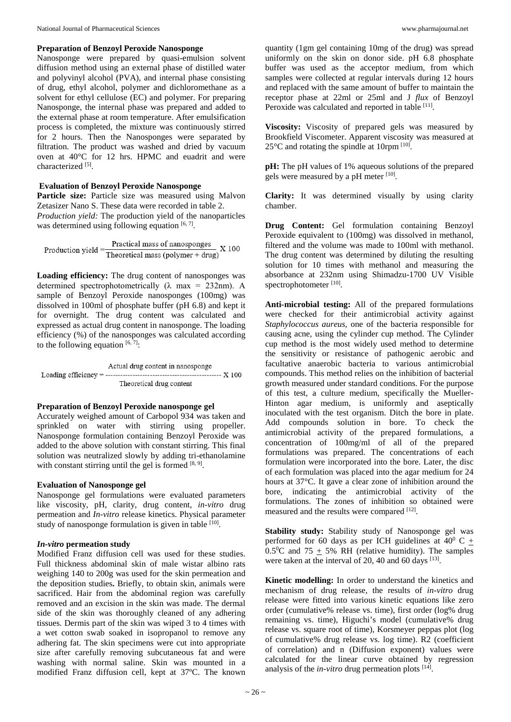## **Preparation of Benzoyl Peroxide Nanosponge**

Nanosponge were prepared by quasi-emulsion solvent diffusion method using an external phase of distilled water and polyvinyl alcohol (PVA), and internal phase consisting of drug, ethyl alcohol, polymer and dichloromethane as a solvent for ethyl cellulose (EC) and polymer. For preparing Nanosponge, the internal phase was prepared and added to the external phase at room temperature. After emulsification process is completed, the mixture was continuously stirred for 2 hours. Then the Nanosponges were separated by filtration. The product was washed and dried by vacuum oven at 40°C for 12 hrs. HPMC and euadrit and were characterized [5].

# **Evaluation of Benzoyl Peroxide Nanosponge**

**Particle size:** Particle size was measured using Malvon Zetasizer Nano S. These data were recorded in table 2. *Production yield:* The production yield of the nanoparticles was determined using following equation [6, 7].

Production yield =  $\frac{\text{Practical mass of nanosponges}}{\text{Theoretical mass (polymer + drug)}} X 100$ 

**Loading efficiency:** The drug content of nanosponges was determined spectrophotometrically ( $\lambda$  max = 232nm). A sample of Benzoyl Peroxide nanosponges (100mg) was dissolved in 100ml of phosphate buffer (pH 6.8) and kept it for overnight. The drug content was calculated and expressed as actual drug content in nanosponge. The loading efficiency (%) of the nanosponges was calculated according to the following equation  $[6, 7]$ :

Actual drug content in nanosponge Loading efficiency  $=$  ---Theoretical drug content

## **Preparation of Benzoyl Peroxide nanosponge gel**

Accurately weighed amount of Carbopol 934 was taken and sprinkled on water with stirring using propeller. Nanosponge formulation containing Benzoyl Peroxide was added to the above solution with constant stirring. This final solution was neutralized slowly by adding tri-ethanolamine with constant stirring until the gel is formed  $[8, 9]$ .

## **Evaluation of Nanosponge gel**

Nanosponge gel formulations were evaluated parameters like viscosity, pH, clarity, drug content*, in-vitro* drug permeation and *In-vitro* release kinetics. Physical parameter study of nanosponge formulation is given in table  $[10]$ .

# *In-vitro* **permeation study**

Modified Franz diffusion cell was used for these studies. Full thickness abdominal skin of male wistar albino rats weighing 140 to 200g was used for the skin permeation and the deposition studies**.** Briefly, to obtain skin, animals were sacrificed. Hair from the abdominal region was carefully removed and an excision in the skin was made. The dermal side of the skin was thoroughly cleaned of any adhering tissues. Dermis part of the skin was wiped 3 to 4 times with a wet cotton swab soaked in isopropanol to remove any adhering fat. The skin specimens were cut into appropriate size after carefully removing subcutaneous fat and were washing with normal saline. Skin was mounted in a modified Franz diffusion cell, kept at 37ºC. The known

quantity (1gm gel containing 10mg of the drug) was spread uniformly on the skin on donor side. pH 6.8 phosphate buffer was used as the acceptor medium, from which samples were collected at regular intervals during 12 hours and replaced with the same amount of buffer to maintain the receptor phase at 22ml or 25ml and J *flux* of Benzoyl Peroxide was calculated and reported in table [11].

**Viscosity:** Viscosity of prepared gels was measured by Brookfield Viscometer. Apparent viscosity was measured at  $25^{\circ}$ C and rotating the spindle at 10rpm  $^{[10]}$ .

**pH:** The pH values of 1% aqueous solutions of the prepared gels were measured by a pH meter [10].

**Clarity:** It was determined visually by using clarity chamber.

**Drug Content:** Gel formulation containing Benzoyl Peroxide equivalent to (100mg) was dissolved in methanol, filtered and the volume was made to 100ml with methanol. The drug content was determined by diluting the resulting solution for 10 times with methanol and measuring the absorbance at 232nm using Shimadzu-1700 UV Visible spectrophotometer [10].

**Anti-microbial testing:** All of the prepared formulations were checked for their antimicrobial activity against *Staphylococcus aureus,* one of the bacteria responsible for causing acne, using the cylinder cup method. The Cylinder cup method is the most widely used method to determine the sensitivity or resistance of pathogenic aerobic and facultative anaerobic bacteria to various antimicrobial compounds. This method relies on the inhibition of bacterial growth measured under standard conditions. For the purpose of this test, a culture medium, specifically the Mueller-Hinton agar medium, is uniformly and aseptically inoculated with the test organism. Ditch the bore in plate. Add compounds solution in bore. To check the antimicrobial activity of the prepared formulations, a concentration of 100mg/ml of all of the prepared formulations was prepared. The concentrations of each formulation were incorporated into the bore. Later, the disc of each formulation was placed into the agar medium for 24 hours at 37°C. It gave a clear zone of inhibition around the bore, indicating the antimicrobial activity of the formulations. The zones of inhibition so obtained were measured and the results were compared [12].

**Stability study:** Stability study of Nanosponge gel was performed for 60 days as per ICH guidelines at  $40^{\circ}$  C + 0.5<sup>o</sup>C and 75  $\pm$  5% RH (relative humidity). The samples were taken at the interval of 20, 40 and 60 days  $[13]$ .

**Kinetic modelling:** In order to understand the kinetics and mechanism of drug release, the results of *in-vitro* drug release were fitted into various kinetic equations like zero order (cumulative% release vs. time), first order (log% drug remaining vs. time), Higuchi's model (cumulative% drug release vs. square root of time), Korsmeyer peppas plot (log of cumulative% drug release vs. log time). R2 (coefficient of correlation) and n (Diffusion exponent) values were calculated for the linear curve obtained by regression analysis of the *in-vitro* drug permeation plots [14].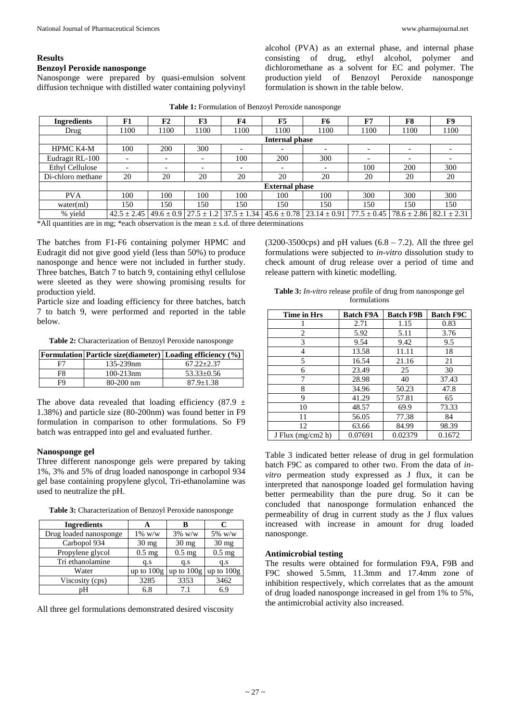# **Benzoyl Peroxide nanosponge**

Nanosponge were prepared by quasi-emulsion solvent diffusion technique with distilled water containing polyvinyl

alcohol (PVA) as an external phase, and internal phase consisting of drug, ethyl alcohol, polymer and dichloromethane as a solvent for EC and polymer. The production yield of Benzoyl Peroxide nanosponge formulation is shown in the table below.

| <b>Ingredients</b>     | F1                       | F2                       | F3                              | F <sub>4</sub>  | F5              | F6                       | F7              | F8                                | F9   |
|------------------------|--------------------------|--------------------------|---------------------------------|-----------------|-----------------|--------------------------|-----------------|-----------------------------------|------|
| Drug                   | 1100                     | 1100                     | 1100                            | 1100            | 1100            | 1100                     | 1100            | 1100                              | 1100 |
|                        |                          | Internal phase           |                                 |                 |                 |                          |                 |                                   |      |
| <b>HPMC K4-M</b>       | 100                      | 200                      | 300                             |                 |                 |                          |                 |                                   |      |
| Eudragit RL-100        | $\overline{\phantom{0}}$ |                          | $\qquad \qquad$                 | 100             | 200             | 300                      |                 |                                   |      |
| <b>Ethyl Cellulose</b> | $\overline{\phantom{a}}$ | $\overline{\phantom{0}}$ | $\overline{\phantom{0}}$        | -               |                 | $\overline{\phantom{0}}$ | 100             | 200                               | 300  |
| Di-chloro methane      | 20                       | 20                       | 20                              | 20              | 20              | 20                       | 20              | 20                                | 20   |
|                        |                          | <b>External phase</b>    |                                 |                 |                 |                          |                 |                                   |      |
| <b>PVA</b>             | 100                      | 100                      | 100                             | 100             | 100             | 100                      | 300             | 300                               | 300  |
| water(ml)              | 150                      | 150                      | 150                             | 150             | 150             | 150                      | 150             | 150                               | 150  |
| % yield                | $42.5 \pm 2.45$          |                          | $49.6 \pm 0.9$   27.5 $\pm$ 1.2 | $37.5 \pm 1.34$ | $45.6 \pm 0.78$ | $23.14 \pm 0.91$         | $77.5 \pm 0.45$ | $78.6 \pm 2.86$   82.1 $\pm$ 2.31 |      |

**Table 1:** Formulation of Benzoyl Peroxide nanosponge

 $*$ All quantities are in mg;  $*$ each observation is the mean  $\pm$  s.d. of three determinations

The batches from F1-F6 containing polymer HPMC and Eudragit did not give good yield (less than 50%) to produce nanosponge and hence were not included in further study. Three batches, Batch 7 to batch 9, containing ethyl cellulose were sleeted as they were showing promising results for production yield.

Particle size and loading efficiency for three batches, batch 7 to batch 9, were performed and reported in the table below.

**Table 2:** Characterization of Benzoyl Peroxide nanosponge

|    | <b>Formulation</b> Particle size (diameter) Loading efficiency $(\%)$ |                  |
|----|-----------------------------------------------------------------------|------------------|
| F7 | 135-239nm                                                             | $67.22 + 2.37$   |
| F8 | $100 - 213$ nm                                                        | $53.33 \pm 0.56$ |
| FQ | $80-200$ nm                                                           | $87.9 + 1.38$    |

The above data revealed that loading efficiency (87.9  $\pm$ 1.38%) and particle size (80-200nm) was found better in F9 formulation in comparison to other formulations. So F9 batch was entrapped into gel and evaluated further.

## **Nanosponge gel**

Three different nanosponge gels were prepared by taking 1%, 3% and 5% of drug loaded nanosponge in carbopol 934 gel base containing propylene glycol, Tri-ethanolamine was used to neutralize the pH.

| <b>Ingredients</b>     |                 | R                         | C               |
|------------------------|-----------------|---------------------------|-----------------|
| Drug loaded nanosponge | $1\%~w/w$       | $3\%$ w/w                 | $5\%$ w/w       |
| Carbopol 934           | $30 \text{ mg}$ | $30 \text{ mg}$           | $30 \text{ mg}$ |
| Propylene glycol       | $0.5$ mg        | $0.5$ mg                  | $0.5$ mg        |
| Tri ethanolamine       | q.s             | q.s                       | q.s             |
| Water                  | up to $100g$    | up to $100g$ up to $100g$ |                 |
| Viscosity (cps)        | 3285            | 3353                      | 3462            |
| pН                     | 6.8             | 7.1                       | 6.9             |

**Table 3:** Characterization of Benzoyl Peroxide nanosponge

All three gel formulations demonstrated desired viscosity

 $(3200-3500\text{cps})$  and pH values  $(6.8 - 7.2)$ . All the three gel formulations were subjected to *in-vitro* dissolution study to check amount of drug release over a period of time and release pattern with kinetic modelling.

| Table 3: In-vitro release profile of drug from nanosponge gel |
|---------------------------------------------------------------|
| formulations                                                  |

| Time in Hrs         | <b>Batch F9A</b> | <b>Batch F9B</b> | <b>Batch F9C</b> |
|---------------------|------------------|------------------|------------------|
|                     | 2.71             | 1.15             | 0.83             |
| 2                   | 5.92             | 5.11             | 3.76             |
| 3                   | 9.54             | 9.42             | 9.5              |
| 4                   | 13.58            | 11.11            | 18               |
| 5                   | 16.54            | 21.16            | 21               |
| 6                   | 23.49            | 25               | 30               |
| 7                   | 28.98            | 40               | 37.43            |
| 8                   | 34.96            | 50.23            | 47.8             |
| 9                   | 41.29            | 57.81            | 65               |
| 10                  | 48.57            | 69.9             | 73.33            |
| 11                  | 56.05            | 77.38            | 84               |
| 12                  | 63.66            | 84.99            | 98.39            |
| J Flux $(mg/cm2 h)$ | 0.07691          | 0.02379          | 0.1672           |

Table 3 indicated better release of drug in gel formulation batch F9C as compared to other two. From the data of *invitro* permeation study expressed as J flux, it can be interpreted that nanosponge loaded gel formulation having better permeability than the pure drug. So it can be concluded that nanosponge formulation enhanced the permeability of drug in current study as the J flux values increased with increase in amount for drug loaded nanosponge.

# **Antimicrobial testing**

The results were obtained for formulation F9A, F9B and F9C showed 5.5mm, 11.3mm and 17.4mm zone of inhibition respectively, which correlates that as the amount of drug loaded nanosponge increased in gel from 1% to 5%, the antimicrobial activity also increased.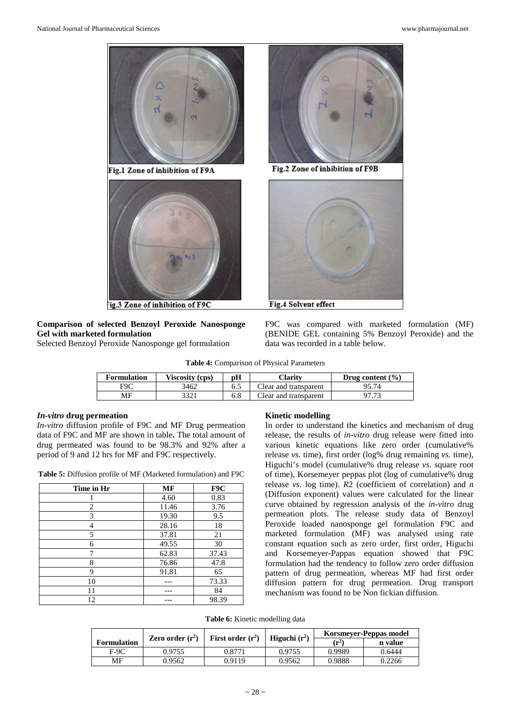

# **Comparison of selected Benzoyl Peroxide Nanosponge Gel with marketed formulation**

Selected Benzoyl Peroxide Nanosponge gel formulation



**Table 4:** Comparison of Physical Parameters

| Formulation | Viscosity (cps) | pН  | <b>Clarity</b>        | Drug content $(\% )$ |
|-------------|-----------------|-----|-----------------------|----------------------|
| F9C         | 3462            | 6.5 | Clear and transparent |                      |
| МF          | 3321            | 6.8 | Clear and transparent | <u>היה.</u><br>דנ    |

## *In-vitro* **drug permeation**

*In-vitro* diffusion profile of F9C and MF Drug permeation data of F9C and MF are shown in table**.** The total amount of drug permeated was found to be 98.3% and 92% after a period of 9 and 12 hrs for MF and F9C respectively.

**Table 5:** Diffusion profile of MF (Marketed formulation) and F9C

| Time in Hr | MF    | F9C   |
|------------|-------|-------|
|            | 4.60  | 0.83  |
| 2          | 11.46 | 3.76  |
| 3          | 19.30 | 9.5   |
| 4          | 28.16 | 18    |
| 5          | 37.81 | 21    |
| 6          | 49.55 | 30    |
| 7          | 62.83 | 37.43 |
| 8          | 76.86 | 47.8  |
| 9          | 91.81 | 65    |
| 10         |       | 73.33 |
| 11         |       | 84    |
| 12         |       | 98.39 |

#### **Kinetic modelling**

In order to understand the kinetics and mechanism of drug release, the results of *in-vitro* drug release were fitted into various kinetic equations like zero order (cumulative% release *vs.* time), first order (log% drug remaining *vs.* time), Higuchi's model (cumulative% drug release *vs*. square root of time), Korsemeyer peppas plot (log of cumulative% drug release *vs*. log time). *R*2 (coefficient of correlation) and *n*  (Diffusion exponent) values were calculated for the linear curve obtained by regression analysis of the *in-vitro* drug permeation plots. The release study data of Benzoyl Peroxide loaded nanosponge gel formulation F9C and marketed formulation (MF) was analysed using rate constant equation such as zero order, first order, Higuchi and Korsemeyer-Pappas equation showed that F9C formulation had the tendency to follow zero order diffusion pattern of drug permeation, whereas MF had first order diffusion pattern for drug permeation. Drug transport mechanism was found to be Non fickian diffusion.

**Table 6:** Kinetic modelling data

|                    | Zero order $(r^2)$ | First order $(r^2)$ | Higuchi $(r^2)$ |                  | Korsmeyer-Peppas model |
|--------------------|--------------------|---------------------|-----------------|------------------|------------------------|
| <b>Formulation</b> |                    |                     |                 | $(\mathbf{r}^2)$ | n value                |
| F-9C               | 0.9755             | 9.8771              | 0.9755          | 0.9989           | 0.6444                 |
| MF                 | 0.9562             | 0.9119              | 0.9562          | 0.9888           | 0.2266                 |